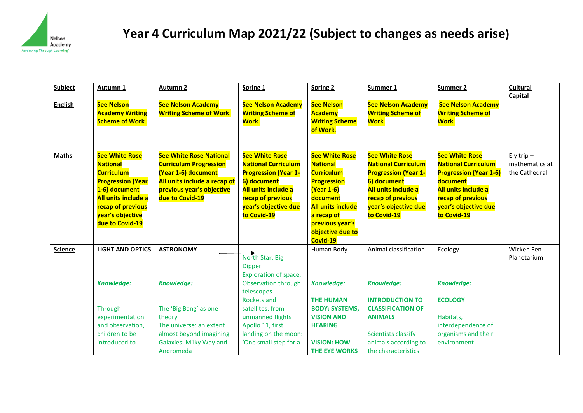

| Subject        | Autumn 1                                                                                                                                                                                      | <b>Autumn 2</b>                                                                                                                                                               | Spring 1                                                                                                                                                                                                                                 | Spring 2                                                                                                                                                                                                          | Summer 1                                                                                                                                                                                 | Summer 2                                                                                                                                                                            | <b>Cultural</b>                                 |
|----------------|-----------------------------------------------------------------------------------------------------------------------------------------------------------------------------------------------|-------------------------------------------------------------------------------------------------------------------------------------------------------------------------------|------------------------------------------------------------------------------------------------------------------------------------------------------------------------------------------------------------------------------------------|-------------------------------------------------------------------------------------------------------------------------------------------------------------------------------------------------------------------|------------------------------------------------------------------------------------------------------------------------------------------------------------------------------------------|-------------------------------------------------------------------------------------------------------------------------------------------------------------------------------------|-------------------------------------------------|
|                |                                                                                                                                                                                               |                                                                                                                                                                               |                                                                                                                                                                                                                                          |                                                                                                                                                                                                                   |                                                                                                                                                                                          |                                                                                                                                                                                     | <b>Capital</b>                                  |
| <b>English</b> | <b>See Nelson</b><br><b>Academy Writing</b><br><b>Scheme of Work.</b>                                                                                                                         | <b>See Nelson Academy</b><br><b>Writing Scheme of Work.</b>                                                                                                                   | <b>See Nelson Academy</b><br><b>Writing Scheme of</b><br>Work.                                                                                                                                                                           | <b>See Nelson</b><br><b>Academy</b><br><b>Writing Scheme</b><br>of Work.                                                                                                                                          | <b>See Nelson Academy</b><br><b>Writing Scheme of</b><br>Work.                                                                                                                           | <b>See Nelson Academy</b><br><b>Writing Scheme of</b><br><b>Work.</b>                                                                                                               |                                                 |
| <b>Maths</b>   | <b>See White Rose</b><br><b>National</b><br><b>Curriculum</b><br><b>Progression (Year</b><br>1-6) document<br>All units include a<br>recap of previous<br>year's objective<br>due to Covid-19 | <b>See White Rose National</b><br><b>Curriculum Progression</b><br>(Year 1-6) document<br>All units include a recap of<br>previous year's objective<br>due to Covid-19        | <b>See White Rose</b><br><b>National Curriculum</b><br><b>Progression (Year 1-</b><br>6) document<br><b>All units include a</b><br>recap of previous<br>year's objective due<br>to Covid-19                                              | <b>See White Rose</b><br><b>National</b><br><b>Curriculum</b><br><b>Progression</b><br><b>(Year 1-6)</b><br>document<br><b>All units include</b><br>a recap of<br>previous year's<br>objective due to<br>Covid-19 | <b>See White Rose</b><br><b>National Curriculum</b><br><b>Progression (Year 1-</b><br>6) document<br>All units include a<br>recap of previous<br>year's objective due<br>to Covid-19     | <b>See White Rose</b><br><b>National Curriculum</b><br><b>Progression (Year 1-6)</b><br>document<br>All units include a<br>recap of previous<br>year's objective due<br>to Covid-19 | Ely trip $-$<br>mathematics at<br>the Cathedral |
| <b>Science</b> | <b>LIGHT AND OPTICS</b><br>Knowledge:<br>Through<br>experimentation<br>and observation,<br>children to be<br>introduced to                                                                    | <b>ASTRONOMY</b><br><b>Knowledge:</b><br>The 'Big Bang' as one<br>theory<br>The universe: an extent<br>almost beyond imagining<br><b>Galaxies: Milky Way and</b><br>Andromeda | North Star, Big<br><b>Dipper</b><br><b>Exploration of space,</b><br><b>Observation through</b><br>telescopes<br>Rockets and<br>satellites: from<br>unmanned flights<br>Apollo 11, first<br>landing on the moon:<br>'One small step for a | Human Body<br><b>Knowledge:</b><br><b>THE HUMAN</b><br><b>BODY: SYSTEMS,</b><br><b>VISION AND</b><br><b>HEARING</b><br><b>VISION: HOW</b><br><b>THE EYE WORKS</b>                                                 | Animal classification<br><b>Knowledge:</b><br><b>INTRODUCTION TO</b><br><b>CLASSIFICATION OF</b><br><b>ANIMALS</b><br>Scientists classify<br>animals according to<br>the characteristics | Ecology<br><b>Knowledge:</b><br><b>ECOLOGY</b><br>Habitats,<br>interdependence of<br>organisms and their<br>environment                                                             | Wicken Fen<br>Planetarium                       |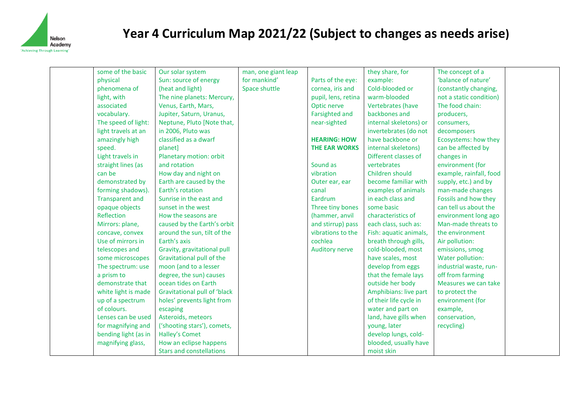

| some of the basic      | Our solar system                    | man, one giant leap |                       | they share, for        | The concept of a        |  |
|------------------------|-------------------------------------|---------------------|-----------------------|------------------------|-------------------------|--|
| physical               | Sun: source of energy               | for mankind'        | Parts of the eye:     | example:               | 'balance of nature'     |  |
| phenomena of           | (heat and light)                    | Space shuttle       | cornea, iris and      | Cold-blooded or        | (constantly changing,   |  |
| light, with            | The nine planets: Mercury,          |                     | pupil, lens, retina   | warm-blooded           | not a static condition) |  |
| associated             | Venus, Earth, Mars,                 |                     | Optic nerve           | Vertebrates (have      | The food chain:         |  |
| vocabulary.            | Jupiter, Saturn, Uranus,            |                     | <b>Farsighted and</b> | backbones and          | producers,              |  |
| The speed of light:    | Neptune, Pluto [Note that,          |                     | near-sighted          | internal skeletons) or | consumers,              |  |
| light travels at an    | in 2006, Pluto was                  |                     |                       | invertebrates (do not  | decomposers             |  |
| amazingly high         | classified as a dwarf               |                     | <b>HEARING: HOW</b>   | have backbone or       | Ecosystems: how they    |  |
| speed.                 | planet]                             |                     | <b>THE EAR WORKS</b>  | internal skeletons)    | can be affected by      |  |
| Light travels in       | Planetary motion: orbit             |                     |                       | Different classes of   | changes in              |  |
| straight lines (as     | and rotation                        |                     | Sound as              | vertebrates            | environment (for        |  |
| can be                 | How day and night on                |                     | vibration             | Children should        | example, rainfall, food |  |
| demonstrated by        | Earth are caused by the             |                     | Outer ear, ear        | become familiar with   | supply, etc.) and by    |  |
| forming shadows).      | Earth's rotation                    |                     | canal                 | examples of animals    | man-made changes        |  |
| <b>Transparent and</b> | Sunrise in the east and             |                     | Eardrum               | in each class and      | Fossils and how they    |  |
| opaque objects         | sunset in the west                  |                     | Three tiny bones      | some basic             | can tell us about the   |  |
| Reflection             | How the seasons are                 |                     | (hammer, anvil        | characteristics of     | environment long ago    |  |
| Mirrors: plane,        | caused by the Earth's orbit         |                     | and stirrup) pass     | each class, such as:   | Man-made threats to     |  |
| concave, convex        | around the sun, tilt of the         |                     | vibrations to the     | Fish: aquatic animals, | the environment         |  |
| Use of mirrors in      | Earth's axis                        |                     | cochlea               | breath through gills,  | Air pollution:          |  |
| telescopes and         | Gravity, gravitational pull         |                     | <b>Auditory nerve</b> | cold-blooded, most     | emissions, smog         |  |
| some microscopes       | Gravitational pull of the           |                     |                       | have scales, most      | Water pollution:        |  |
| The spectrum: use      | moon (and to a lesser               |                     |                       | develop from eggs      | industrial waste, run-  |  |
| a prism to             | degree, the sun) causes             |                     |                       | that the female lays   | off from farming        |  |
| demonstrate that       | ocean tides on Earth                |                     |                       | outside her body       | Measures we can take    |  |
| white light is made    | <b>Gravitational pull of 'black</b> |                     |                       | Amphibians: live part  | to protect the          |  |
| up of a spectrum       | holes' prevents light from          |                     |                       | of their life cycle in | environment (for        |  |
| of colours.            | escaping                            |                     |                       | water and part on      | example,                |  |
| Lenses can be used     | Asteroids, meteors                  |                     |                       | land, have gills when  | conservation,           |  |
| for magnifying and     | ('shooting stars'), comets,         |                     |                       | young, later           | recycling)              |  |
| bending light (as in   | <b>Halley's Comet</b>               |                     |                       | develop lungs, cold-   |                         |  |
| magnifying glass,      | How an eclipse happens              |                     |                       | blooded, usually have  |                         |  |
|                        | <b>Stars and constellations</b>     |                     |                       | moist skin             |                         |  |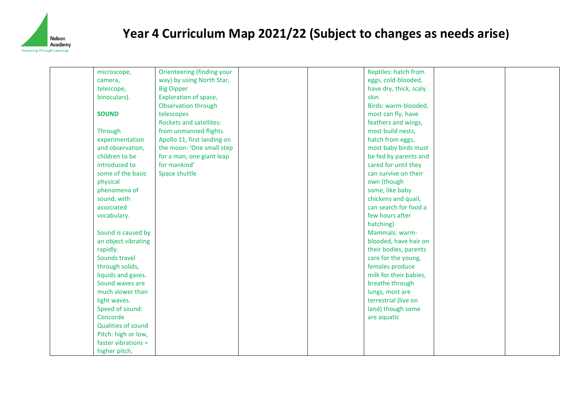

| microscope,               | Orienteering (finding your     | Reptiles: hatch from   |  |
|---------------------------|--------------------------------|------------------------|--|
| camera,                   | way) by using North Star,      | eggs, cold-blooded,    |  |
| telescope,                | <b>Big Dipper</b>              | have dry, thick, scaly |  |
| binoculars).              | Exploration of space,          | skin                   |  |
|                           | Observation through            | Birds: warm-blooded,   |  |
| <b>SOUND</b>              | telescopes                     | most can fly, have     |  |
|                           | <b>Rockets and satellites:</b> | feathers and wings,    |  |
| Through                   | from unmanned flights          | most build nests,      |  |
| experimentation           | Apollo 11, first landing on    | hatch from eggs,       |  |
| and observation,          | the moon: 'One small step      | most baby birds must   |  |
| children to be            | for a man, one giant leap      | be fed by parents and  |  |
| introduced to             | for mankind'                   | cared for until they   |  |
| some of the basic         | Space shuttle                  | can survive on their   |  |
| physical                  |                                | own (though            |  |
| phenomena of              |                                | some, like baby        |  |
| sound, with               |                                | chickens and quail,    |  |
| associated                |                                | can search for food a  |  |
| vocabulary.               |                                | few hours after        |  |
|                           |                                | hatching)              |  |
| Sound is caused by        |                                | Mammals: warm-         |  |
| an object vibrating       |                                | blooded, have hair on  |  |
| rapidly.                  |                                | their bodies, parents  |  |
| Sounds travel             |                                | care for the young,    |  |
| through solids,           |                                | females produce        |  |
| liquids and gases.        |                                | milk for their babies, |  |
| Sound waves are           |                                | breathe through        |  |
| much slower than          |                                | lungs, most are        |  |
| light waves.              |                                | terrestrial (live on   |  |
| Speed of sound:           |                                | land) though some      |  |
| Concorde                  |                                | are aquatic            |  |
| <b>Qualities of sound</b> |                                |                        |  |
| Pitch: high or low,       |                                |                        |  |
| faster vibrations =       |                                |                        |  |
| higher pitch,             |                                |                        |  |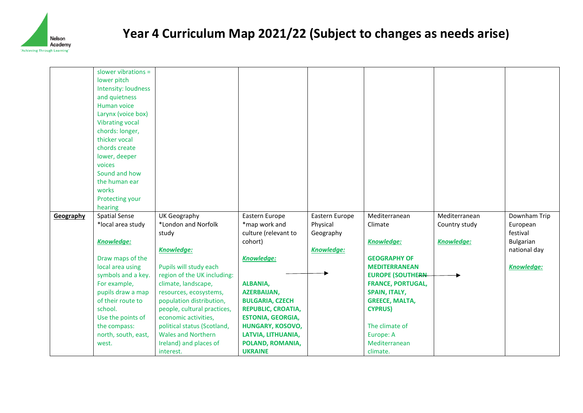

|           | slower vibrations $=$  |                                     |                                    |                   |                           |                   |                   |
|-----------|------------------------|-------------------------------------|------------------------------------|-------------------|---------------------------|-------------------|-------------------|
|           | lower pitch            |                                     |                                    |                   |                           |                   |                   |
|           | Intensity: loudness    |                                     |                                    |                   |                           |                   |                   |
|           | and quietness          |                                     |                                    |                   |                           |                   |                   |
|           | Human voice            |                                     |                                    |                   |                           |                   |                   |
|           | Larynx (voice box)     |                                     |                                    |                   |                           |                   |                   |
|           | <b>Vibrating vocal</b> |                                     |                                    |                   |                           |                   |                   |
|           | chords: longer,        |                                     |                                    |                   |                           |                   |                   |
|           | thicker vocal          |                                     |                                    |                   |                           |                   |                   |
|           | chords create          |                                     |                                    |                   |                           |                   |                   |
|           | lower, deeper          |                                     |                                    |                   |                           |                   |                   |
|           | voices                 |                                     |                                    |                   |                           |                   |                   |
|           | Sound and how          |                                     |                                    |                   |                           |                   |                   |
|           | the human ear          |                                     |                                    |                   |                           |                   |                   |
|           | works                  |                                     |                                    |                   |                           |                   |                   |
|           | Protecting your        |                                     |                                    |                   |                           |                   |                   |
|           | hearing                |                                     |                                    |                   |                           |                   |                   |
| Geography | <b>Spatial Sense</b>   | UK Geography                        | Eastern Europe                     | Eastern Europe    | Mediterranean             | Mediterranean     | Downham Trip      |
|           |                        |                                     |                                    |                   |                           |                   |                   |
|           | *local area study      | *London and Norfolk                 | *map work and                      | Physical          | Climate                   | Country study     | European          |
|           |                        | study                               | culture (relevant to               | Geography         |                           |                   | festival          |
|           | <b>Knowledge:</b>      |                                     | cohort)                            |                   | Knowledge:                | <b>Knowledge:</b> | Bulgarian         |
|           |                        | <b>Knowledge:</b>                   |                                    | <b>Knowledge:</b> |                           |                   | national day      |
|           | Draw maps of the       |                                     | <b>Knowledge:</b>                  |                   | <b>GEOGRAPHY OF</b>       |                   |                   |
|           | local area using       | Pupils will study each              |                                    |                   | <b>MEDITERRANEAN</b>      |                   | <b>Knowledge:</b> |
|           | symbols and a key.     | region of the UK including:         |                                    |                   | <b>EUROPE (SOUTHERN-</b>  |                   |                   |
|           | For example,           | climate, landscape,                 | <b>ALBANIA,</b>                    |                   | <b>FRANCE, PORTUGAL,</b>  |                   |                   |
|           | pupils draw a map      | resources, ecosystems,              | <b>AZERBAIJAN,</b>                 |                   | <b>SPAIN, ITALY,</b>      |                   |                   |
|           | of their route to      | population distribution,            | <b>BULGARIA, CZECH</b>             |                   | <b>GREECE, MALTA,</b>     |                   |                   |
|           | school.                | people, cultural practices,         | <b>REPUBLIC, CROATIA,</b>          |                   | <b>CYPRUS)</b>            |                   |                   |
|           | Use the points of      | economic activities,                | <b>ESTONIA, GEORGIA,</b>           |                   |                           |                   |                   |
|           | the compass:           | political status (Scotland,         | HUNGARY, KOSOVO,                   |                   | The climate of            |                   |                   |
|           | north, south, east,    | <b>Wales and Northern</b>           | LATVIA, LITHUANIA,                 |                   | Europe: A                 |                   |                   |
|           | west.                  | Ireland) and places of<br>interest. | POLAND, ROMANIA,<br><b>UKRAINE</b> |                   | Mediterranean<br>climate. |                   |                   |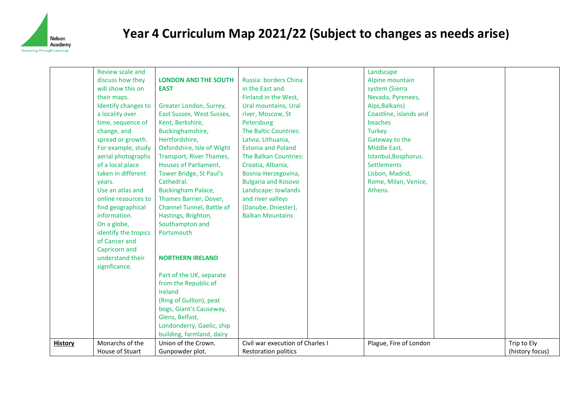

|                | Review scale and     |                              |                                  | Landscape              |                 |
|----------------|----------------------|------------------------------|----------------------------------|------------------------|-----------------|
|                | discuss how they     | <b>LONDON AND THE SOUTH</b>  | Russia: borders China            | Alpine mountain        |                 |
|                | will show this on    | <b>EAST</b>                  | in the East and                  | system (Sierra         |                 |
|                | their maps.          |                              | Finland in the West,             | Nevada, Pyrenees,      |                 |
|                | Identify changes to  | Greater London, Surrey,      | Ural mountains, Ural             | Alps, Balkans)         |                 |
|                | a locality over      | East Sussex, West Sussex,    | river, Moscow, St                | Coastline, islands and |                 |
|                | time, sequence of    | Kent, Berkshire,             | Petersburg                       | beaches                |                 |
|                | change, and          | Buckinghamshire,             | The Baltic Countries:            | <b>Turkey</b>          |                 |
|                | spread or growth.    | Hertfordshire,               | Latvia, Lithuania,               | Gateway to the         |                 |
|                | For example, study   | Oxfordshire, Isle of Wight   | <b>Estonia and Poland</b>        | Middle East,           |                 |
|                | aerial photographs   | Transport, River Thames,     | The Balkan Countries:            | Istanbul, Bosphorus.   |                 |
|                | of a local place     | <b>Houses of Parliament,</b> | Croatia, Albania,                | <b>Settlements</b>     |                 |
|                | taken in different   | Tower Bridge, St Paul's      | Bosnia-Herzegovina,              | Lisbon, Madrid,        |                 |
|                | years.               | Cathedral.                   | <b>Bulgaria and Kosovo</b>       | Rome, Milan, Venice,   |                 |
|                | Use an atlas and     | <b>Buckingham Palace,</b>    | Landscape: lowlands              | Athens.                |                 |
|                | online resources to  | Thames Barrier, Dover,       | and river valleys                |                        |                 |
|                | find geographical    | Channel Tunnel, Battle of    | (Danube, Dniester),              |                        |                 |
|                | information.         | Hastings, Brighton,          | <b>Balkan Mountains</b>          |                        |                 |
|                | On a globe,          | Southampton and              |                                  |                        |                 |
|                | identify the tropics | Portsmouth                   |                                  |                        |                 |
|                | of Cancer and        |                              |                                  |                        |                 |
|                | Capricorn and        |                              |                                  |                        |                 |
|                | understand their     | <b>NORTHERN IRELAND</b>      |                                  |                        |                 |
|                | significance.        |                              |                                  |                        |                 |
|                |                      | Part of the UK, separate     |                                  |                        |                 |
|                |                      | from the Republic of         |                                  |                        |                 |
|                |                      | Ireland                      |                                  |                        |                 |
|                |                      | (Ring of Gullion), peat      |                                  |                        |                 |
|                |                      | bogs, Giant's Causeway,      |                                  |                        |                 |
|                |                      | Glens, Belfast,              |                                  |                        |                 |
|                |                      | Londonderry, Gaelic, ship    |                                  |                        |                 |
|                |                      | building, farmland, dairy    |                                  |                        |                 |
| <b>History</b> | Monarchs of the      | Union of the Crown.          | Civil war execution of Charles I | Plague, Fire of London | Trip to Ely     |
|                | House of Stuart      | Gunpowder plot.              | <b>Restoration politics</b>      |                        | (history focus) |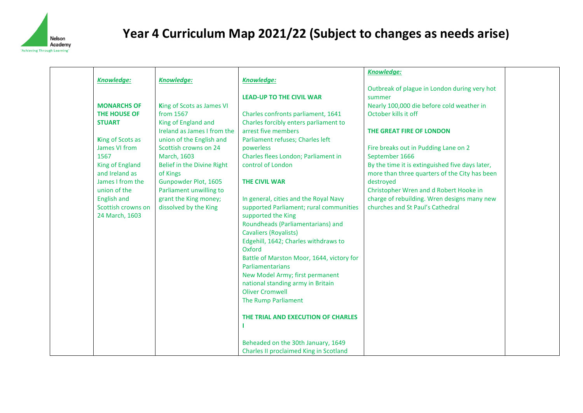

|                    |                             |                                           | <b>Knowledge:</b>                               |  |
|--------------------|-----------------------------|-------------------------------------------|-------------------------------------------------|--|
| <b>Knowledge:</b>  | <b>Knowledge:</b>           | Knowledge:                                |                                                 |  |
|                    |                             |                                           | Outbreak of plague in London during very hot    |  |
|                    |                             | <b>LEAD-UP TO THE CIVIL WAR</b>           | summer                                          |  |
| <b>MONARCHS OF</b> | King of Scots as James VI   |                                           | Nearly 100,000 die before cold weather in       |  |
| THE HOUSE OF       | from 1567                   | Charles confronts parliament, 1641        | October kills it off                            |  |
| <b>STUART</b>      | King of England and         | Charles forcibly enters parliament to     |                                                 |  |
|                    | Ireland as James I from the | arrest five members                       | THE GREAT FIRE OF LONDON                        |  |
| King of Scots as   | union of the English and    | Parliament refuses; Charles left          |                                                 |  |
| James VI from      | Scottish crowns on 24       | powerless                                 | Fire breaks out in Pudding Lane on 2            |  |
| 1567               | March, 1603                 | Charles flees London; Parliament in       | September 1666                                  |  |
| King of England    | Belief in the Divine Right  | control of London                         | By the time it is extinguished five days later, |  |
| and Ireland as     | of Kings                    |                                           | more than three quarters of the City has been   |  |
| James I from the   | Gunpowder Plot, 1605        | <b>THE CIVIL WAR</b>                      | destroyed                                       |  |
| union of the       | Parliament unwilling to     |                                           | Christopher Wren and d Robert Hooke in          |  |
| <b>English and</b> | grant the King money;       | In general, cities and the Royal Navy     | charge of rebuilding. Wren designs many new     |  |
| Scottish crowns on | dissolved by the King       | supported Parliament; rural communities   | churches and St Paul's Cathedral                |  |
| 24 March, 1603     |                             | supported the King                        |                                                 |  |
|                    |                             | Roundheads (Parliamentarians) and         |                                                 |  |
|                    |                             | <b>Cavaliers (Royalists)</b>              |                                                 |  |
|                    |                             | Edgehill, 1642; Charles withdraws to      |                                                 |  |
|                    |                             | Oxford                                    |                                                 |  |
|                    |                             | Battle of Marston Moor, 1644, victory for |                                                 |  |
|                    |                             | Parliamentarians                          |                                                 |  |
|                    |                             | New Model Army; first permanent           |                                                 |  |
|                    |                             | national standing army in Britain         |                                                 |  |
|                    |                             | <b>Oliver Cromwell</b>                    |                                                 |  |
|                    |                             | The Rump Parliament                       |                                                 |  |
|                    |                             | THE TRIAL AND EXECUTION OF CHARLES        |                                                 |  |
|                    |                             |                                           |                                                 |  |
|                    |                             |                                           |                                                 |  |
|                    |                             | Beheaded on the 30th January, 1649        |                                                 |  |
|                    |                             | Charles II proclaimed King in Scotland    |                                                 |  |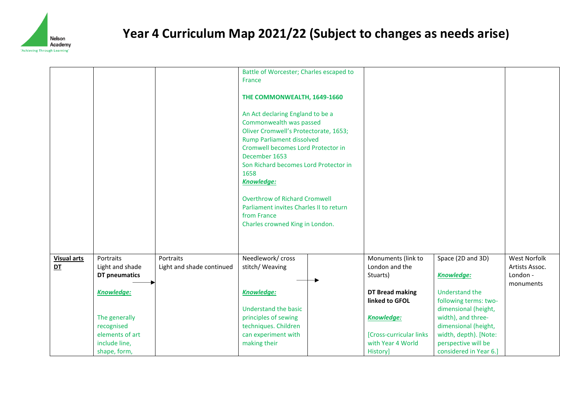

|                    |                 |                           | Battle of Worcester; Charles escaped to<br>France<br>THE COMMONWEALTH, 1649-1660<br>An Act declaring England to be a<br>Commonwealth was passed<br>Oliver Cromwell's Protectorate, 1653;<br><b>Rump Parliament dissolved</b><br>Cromwell becomes Lord Protector in<br>December 1653<br>Son Richard becomes Lord Protector in<br>1658<br>Knowledge:<br><b>Overthrow of Richard Cromwell</b><br>Parliament invites Charles II to return<br>from France<br>Charles crowned King in London. |                         |                        |                       |
|--------------------|-----------------|---------------------------|-----------------------------------------------------------------------------------------------------------------------------------------------------------------------------------------------------------------------------------------------------------------------------------------------------------------------------------------------------------------------------------------------------------------------------------------------------------------------------------------|-------------------------|------------------------|-----------------------|
| <b>Visual arts</b> | Portraits       | Portraits                 | Needlework/ cross                                                                                                                                                                                                                                                                                                                                                                                                                                                                       | Monuments (link to      | Space (2D and 3D)      | <b>West Norfolk</b>   |
| DT                 | Light and shade | Light and shade continued | stitch/ Weaving                                                                                                                                                                                                                                                                                                                                                                                                                                                                         | London and the          |                        | Artists Assoc.        |
|                    | DT pneumatics   |                           |                                                                                                                                                                                                                                                                                                                                                                                                                                                                                         | Stuarts)                | <b>Knowledge:</b>      | London -<br>monuments |
|                    | Knowledge:      |                           | <b>Knowledge:</b>                                                                                                                                                                                                                                                                                                                                                                                                                                                                       | <b>DT Bread making</b>  | <b>Understand the</b>  |                       |
|                    |                 |                           |                                                                                                                                                                                                                                                                                                                                                                                                                                                                                         | linked to GFOL          | following terms: two-  |                       |
|                    |                 |                           | Understand the basic                                                                                                                                                                                                                                                                                                                                                                                                                                                                    |                         | dimensional (height,   |                       |
|                    | The generally   |                           | principles of sewing                                                                                                                                                                                                                                                                                                                                                                                                                                                                    | <b>Knowledge:</b>       | width), and three-     |                       |
|                    | recognised      |                           | techniques. Children                                                                                                                                                                                                                                                                                                                                                                                                                                                                    |                         | dimensional (height,   |                       |
|                    | elements of art |                           | can experiment with                                                                                                                                                                                                                                                                                                                                                                                                                                                                     | [Cross-curricular links | width, depth). [Note:  |                       |
|                    | include line,   |                           | making their                                                                                                                                                                                                                                                                                                                                                                                                                                                                            | with Year 4 World       | perspective will be    |                       |
|                    | shape, form,    |                           |                                                                                                                                                                                                                                                                                                                                                                                                                                                                                         | History]                | considered in Year 6.] |                       |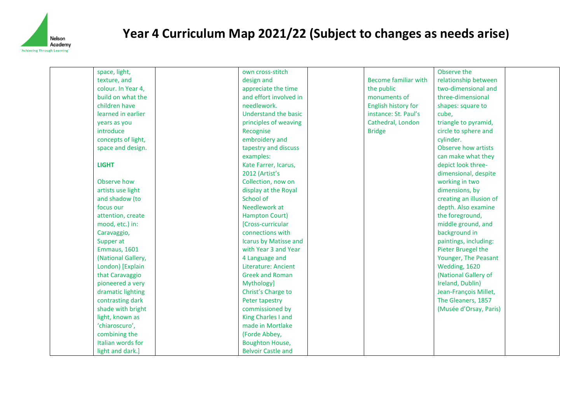

| space, light,      | own cross-stitch          |                             | Observe the             |
|--------------------|---------------------------|-----------------------------|-------------------------|
| texture, and       | design and                | <b>Become familiar with</b> | relationship between    |
| colour. In Year 4, | appreciate the time       | the public                  | two-dimensional and     |
| build on what the  | and effort involved in    | monuments of                | three-dimensional       |
| children have      | needlework.               | English history for         | shapes: square to       |
| learned in earlier | Understand the basic      | instance: St. Paul's        | cube,                   |
| years as you       | principles of weaving     | Cathedral, London           | triangle to pyramid,    |
| introduce          | Recognise                 | <b>Bridge</b>               | circle to sphere and    |
| concepts of light, | embroidery and            |                             | cylinder.               |
| space and design.  | tapestry and discuss      |                             | Observe how artists     |
|                    | examples:                 |                             | can make what they      |
| <b>LIGHT</b>       | Kate Farrer, Icarus,      |                             | depict look three-      |
|                    | 2012 (Artist's            |                             | dimensional, despite    |
| Observe how        | Collection, now on        |                             | working in two          |
| artists use light  | display at the Royal      |                             | dimensions, by          |
| and shadow (to     | School of                 |                             | creating an illusion of |
| focus our          | Needlework at             |                             | depth. Also examine     |
| attention, create  | <b>Hampton Court)</b>     |                             | the foreground,         |
| mood, etc.) in:    | [Cross-curricular         |                             | middle ground, and      |
| Caravaggio,        | connections with          |                             | background in           |
| Supper at          | Icarus by Matisse and     |                             | paintings, including:   |
| Emmaus, 1601       | with Year 3 and Year      |                             | Pieter Bruegel the      |
| (National Gallery, | 4 Language and            |                             | Younger, The Peasant    |
| London) [Explain   | Literature: Ancient       |                             | Wedding, 1620           |
| that Caravaggio    | <b>Greek and Roman</b>    |                             | (National Gallery of    |
| pioneered a very   | Mythology]                |                             | Ireland, Dublin)        |
| dramatic lighting  | Christ's Charge to        |                             | Jean-François Millet,   |
| contrasting dark   | Peter tapestry            |                             | The Gleaners, 1857      |
| shade with bright  | commissioned by           |                             | (Musée d'Orsay, Paris)  |
| light, known as    | King Charles I and        |                             |                         |
| 'chiaroscuro',     | made in Mortlake          |                             |                         |
| combining the      | (Forde Abbey,             |                             |                         |
| Italian words for  | <b>Boughton House,</b>    |                             |                         |
| light and dark.]   | <b>Belvoir Castle and</b> |                             |                         |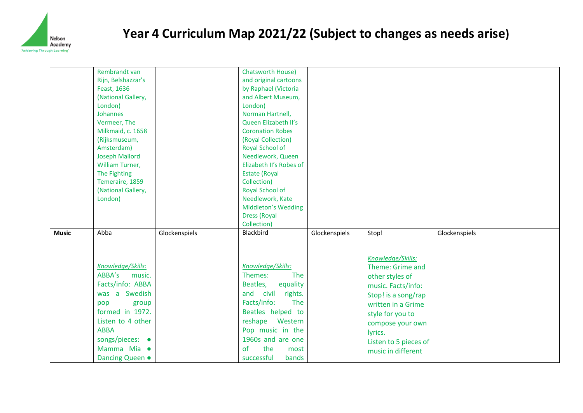

|              | Rembrandt van                      |               | <b>Chatsworth House)</b>   |               |                       |               |  |
|--------------|------------------------------------|---------------|----------------------------|---------------|-----------------------|---------------|--|
|              | Rijn, Belshazzar's                 |               | and original cartoons      |               |                       |               |  |
|              | Feast, 1636                        |               | by Raphael (Victoria       |               |                       |               |  |
|              | (National Gallery,                 |               | and Albert Museum,         |               |                       |               |  |
|              | London)                            |               | London)                    |               |                       |               |  |
|              | Johannes                           |               | Norman Hartnell,           |               |                       |               |  |
|              | Vermeer, The                       |               | Queen Elizabeth II's       |               |                       |               |  |
|              |                                    |               | <b>Coronation Robes</b>    |               |                       |               |  |
|              | Milkmaid, c. 1658<br>(Rijksmuseum, |               | (Royal Collection)         |               |                       |               |  |
|              | Amsterdam)                         |               | Royal School of            |               |                       |               |  |
|              | <b>Joseph Mallord</b>              |               | Needlework, Queen          |               |                       |               |  |
|              | William Turner,                    |               | Elizabeth II's Robes of    |               |                       |               |  |
|              | The Fighting                       |               | <b>Estate (Royal</b>       |               |                       |               |  |
|              | Temeraire, 1859                    |               | Collection)                |               |                       |               |  |
|              | (National Gallery,                 |               | Royal School of            |               |                       |               |  |
|              | London)                            |               | Needlework, Kate           |               |                       |               |  |
|              |                                    |               | <b>Middleton's Wedding</b> |               |                       |               |  |
|              |                                    |               | <b>Dress (Royal</b>        |               |                       |               |  |
|              |                                    |               | Collection)                |               |                       |               |  |
| <b>Music</b> | Abba                               | Glockenspiels | Blackbird                  | Glockenspiels | Stop!                 | Glockenspiels |  |
|              |                                    |               |                            |               |                       |               |  |
|              |                                    |               |                            |               |                       |               |  |
|              |                                    |               |                            |               | Knowledge/Skills:     |               |  |
|              | Knowledge/Skills:                  |               | Knowledge/Skills:          |               | Theme: Grime and      |               |  |
|              | ABBA's<br>music.                   |               | Themes:<br><b>The</b>      |               |                       |               |  |
|              | Facts/info: ABBA                   |               | Beatles,<br>equality       |               | other styles of       |               |  |
|              | was a Swedish                      |               | and civil<br>rights.       |               | music. Facts/info:    |               |  |
|              |                                    |               |                            |               | Stop! is a song/rap   |               |  |
|              | group<br>pop                       |               | Facts/info:<br>The         |               | written in a Grime    |               |  |
|              | formed in 1972.                    |               | Beatles helped to          |               | style for you to      |               |  |
|              | Listen to 4 other                  |               | reshape<br>Western         |               | compose your own      |               |  |
|              | <b>ABBA</b>                        |               | Pop music in the           |               | lyrics.               |               |  |
|              | songs/pieces: •                    |               | 1960s and are one          |               | Listen to 5 pieces of |               |  |
|              | Mamma Mia •                        |               | of<br>the<br>most          |               | music in different    |               |  |
|              | Dancing Queen .                    |               | successful<br>bands        |               |                       |               |  |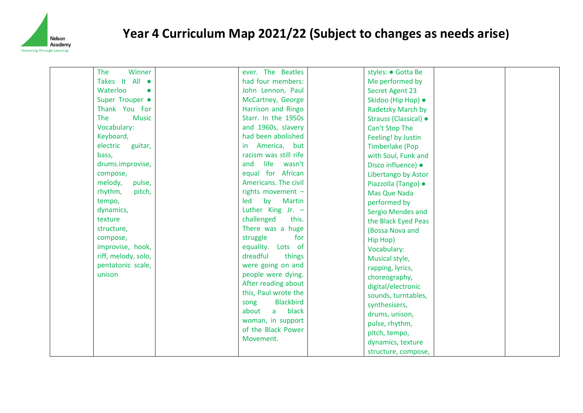

| Winner<br>The              | ever. The Beatles          | styles: • Gotta Be     |
|----------------------------|----------------------------|------------------------|
| Takes It All .             | had four members:          | Me performed by        |
| Waterloo<br>$\bullet$      | John Lennon, Paul          | Secret Agent 23        |
| Super Trouper •            | McCartney, George          | Skidoo (Hip Hop) ·     |
| Thank You For              | Harrison and Ringo         | Radetzky March by      |
| <b>Music</b><br><b>The</b> | Starr. In the 1950s        | Strauss (Classical) ·  |
| Vocabulary:                | and 1960s, slavery         | Can't Stop The         |
| Keyboard,                  | had been abolished         | Feeling! by Justin     |
| electric<br>guitar,        | America, but<br>in.        | <b>Timberlake (Pop</b> |
| bass,                      | racism was still rife      | with Soul, Funk and    |
| drums.improvise,           | life wasn't<br>and         | Disco influence) ·     |
| compose,                   | equal for African          | Libertango by Astor    |
| melody,<br>pulse,          | Americans. The civil       | Piazzolla (Tango) ·    |
| rhythm,<br>pitch,          | rights movement -          | Mas Que Nada           |
| tempo,                     | led<br>by<br><b>Martin</b> | performed by           |
| dynamics,                  | Luther King Jr. -          | Sergio Mendes and      |
| texture                    | challenged<br>this.        | the Black Eyed Peas    |
| structure,                 | There was a huge           | (Bossa Nova and        |
| compose,                   | for<br>struggle            | Hip Hop)               |
| improvise, hook,           | equality. Lots of          | Vocabulary:            |
| riff, melody, solo,        | dreadful<br>things         | Musical style,         |
| pentatonic scale,          | were going on and          | rapping, lyrics,       |
| unison                     | people were dying.         | choreography,          |
|                            | After reading about        | digital/electronic     |
|                            | this, Paul wrote the       | sounds, turntables,    |
|                            | <b>Blackbird</b><br>song   | synthesisers,          |
|                            | black<br>about<br>a        | drums, unison,         |
|                            | woman, in support          | pulse, rhythm,         |
|                            | of the Black Power         | pitch, tempo,          |
|                            | Movement.                  | dynamics, texture      |
|                            |                            | structure, compose,    |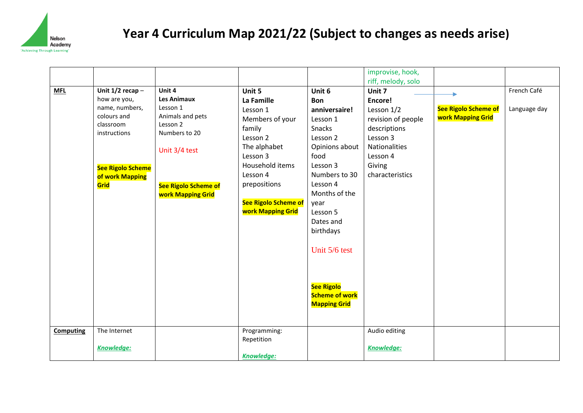

|                  |                                             |                          |                             |                       | improvise, hook,     |                             |              |
|------------------|---------------------------------------------|--------------------------|-----------------------------|-----------------------|----------------------|-----------------------------|--------------|
|                  |                                             |                          |                             |                       | riff, melody, solo   |                             |              |
| <b>MFL</b>       | Unit $1/2$ recap -                          | Unit 4                   | Unit 5                      | Unit 6                | Unit 7               |                             | French Café  |
|                  | how are you,                                | <b>Les Animaux</b>       | La Famille                  | <b>Bon</b>            | Encore!              |                             |              |
|                  | name, numbers,                              | Lesson 1                 | Lesson 1                    | anniversaire!         | Lesson 1/2           | <b>See Rigolo Scheme of</b> | Language day |
|                  | colours and                                 | Animals and pets         | Members of your             | Lesson 1              | revision of people   | <b>work Mapping Grid</b>    |              |
|                  | classroom                                   | Lesson 2                 | family                      | Snacks                | descriptions         |                             |              |
|                  | instructions                                | Numbers to 20            | Lesson 2                    | Lesson 2              | Lesson 3             |                             |              |
|                  |                                             |                          | The alphabet                | Opinions about        | <b>Nationalities</b> |                             |              |
|                  |                                             | Unit 3/4 test            | Lesson 3                    | food                  | Lesson 4             |                             |              |
|                  |                                             |                          | Household items             | Lesson 3              | Giving               |                             |              |
|                  | <b>See Rigolo Scheme</b><br>of work Mapping |                          | Lesson 4                    | Numbers to 30         | characteristics      |                             |              |
|                  | Grid                                        | See Rigolo Scheme of     | prepositions                | Lesson 4              |                      |                             |              |
|                  |                                             | <b>work Mapping Grid</b> |                             | Months of the         |                      |                             |              |
|                  |                                             |                          | <b>See Rigolo Scheme of</b> | year                  |                      |                             |              |
|                  |                                             |                          | <b>work Mapping Grid</b>    | Lesson 5              |                      |                             |              |
|                  |                                             |                          |                             | Dates and             |                      |                             |              |
|                  |                                             |                          |                             | birthdays             |                      |                             |              |
|                  |                                             |                          |                             |                       |                      |                             |              |
|                  |                                             |                          |                             | Unit 5/6 test         |                      |                             |              |
|                  |                                             |                          |                             |                       |                      |                             |              |
|                  |                                             |                          |                             |                       |                      |                             |              |
|                  |                                             |                          |                             |                       |                      |                             |              |
|                  |                                             |                          |                             | <b>See Rigolo</b>     |                      |                             |              |
|                  |                                             |                          |                             | <b>Scheme of work</b> |                      |                             |              |
|                  |                                             |                          |                             | <b>Mapping Grid</b>   |                      |                             |              |
|                  |                                             |                          |                             |                       |                      |                             |              |
|                  |                                             |                          |                             |                       |                      |                             |              |
| <b>Computing</b> | The Internet                                |                          | Programming:                |                       | Audio editing        |                             |              |
|                  |                                             |                          | Repetition                  |                       |                      |                             |              |
|                  | <b>Knowledge:</b>                           |                          |                             |                       | <b>Knowledge:</b>    |                             |              |
|                  |                                             |                          | <b>Knowledge:</b>           |                       |                      |                             |              |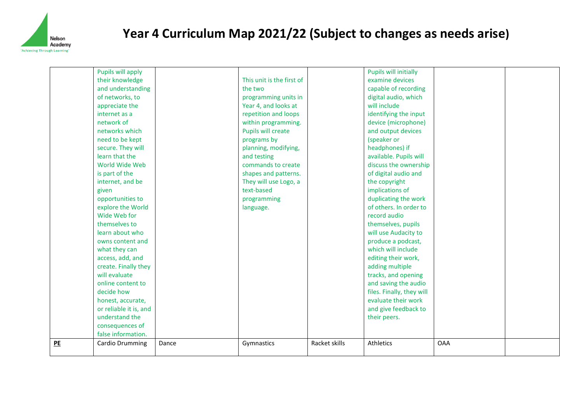

|           | Pupils will apply      |       |                           |               | <b>Pupils will initially</b> |            |  |
|-----------|------------------------|-------|---------------------------|---------------|------------------------------|------------|--|
|           | their knowledge        |       | This unit is the first of |               | examine devices              |            |  |
|           | and understanding      |       | the two                   |               | capable of recording         |            |  |
|           | of networks, to        |       | programming units in      |               | digital audio, which         |            |  |
|           | appreciate the         |       | Year 4, and looks at      |               | will include                 |            |  |
|           | internet as a          |       | repetition and loops      |               | identifying the input        |            |  |
|           | network of             |       | within programming.       |               | device (microphone)          |            |  |
|           | networks which         |       | Pupils will create        |               | and output devices           |            |  |
|           | need to be kept        |       | programs by               |               | (speaker or                  |            |  |
|           | secure. They will      |       | planning, modifying,      |               | headphones) if               |            |  |
|           | learn that the         |       | and testing               |               | available. Pupils will       |            |  |
|           | World Wide Web         |       | commands to create        |               | discuss the ownership        |            |  |
|           | is part of the         |       | shapes and patterns.      |               | of digital audio and         |            |  |
|           | internet, and be       |       | They will use Logo, a     |               | the copyright                |            |  |
|           | given                  |       | text-based                |               | implications of              |            |  |
|           | opportunities to       |       | programming               |               | duplicating the work         |            |  |
|           | explore the World      |       | language.                 |               | of others. In order to       |            |  |
|           | Wide Web for           |       |                           |               | record audio                 |            |  |
|           | themselves to          |       |                           |               | themselves, pupils           |            |  |
|           | learn about who        |       |                           |               | will use Audacity to         |            |  |
|           | owns content and       |       |                           |               | produce a podcast,           |            |  |
|           | what they can          |       |                           |               | which will include           |            |  |
|           | access, add, and       |       |                           |               | editing their work,          |            |  |
|           | create. Finally they   |       |                           |               | adding multiple              |            |  |
|           | will evaluate          |       |                           |               | tracks, and opening          |            |  |
|           | online content to      |       |                           |               | and saving the audio         |            |  |
|           | decide how             |       |                           |               | files. Finally, they will    |            |  |
|           | honest, accurate,      |       |                           |               | evaluate their work          |            |  |
|           | or reliable it is, and |       |                           |               | and give feedback to         |            |  |
|           | understand the         |       |                           |               | their peers.                 |            |  |
|           | consequences of        |       |                           |               |                              |            |  |
|           | false information.     |       |                           |               |                              |            |  |
| <b>PE</b> | Cardio Drumming        | Dance | Gymnastics                | Racket skills | Athletics                    | <b>OAA</b> |  |
|           |                        |       |                           |               |                              |            |  |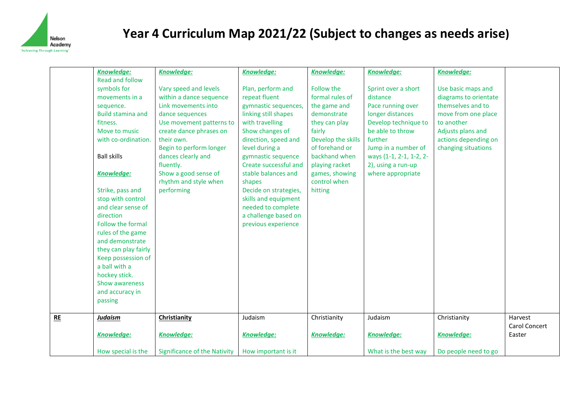

|           | <b>Knowledge:</b>        | <b>Knowledge:</b>                   | <b>Knowledge:</b>     | <b>Knowledge:</b>  | <b>Knowledge:</b>       | <b>Knowledge:</b>     |               |
|-----------|--------------------------|-------------------------------------|-----------------------|--------------------|-------------------------|-----------------------|---------------|
|           | <b>Read and follow</b>   |                                     |                       |                    |                         |                       |               |
|           | symbols for              | Vary speed and levels               | Plan, perform and     | Follow the         | Sprint over a short     | Use basic maps and    |               |
|           | movements in a           | within a dance sequence             | repeat fluent         | formal rules of    | distance                | diagrams to orientate |               |
|           | sequence.                | Link movements into                 | gymnastic sequences,  | the game and       | Pace running over       | themselves and to     |               |
|           | <b>Build stamina and</b> | dance sequences                     | linking still shapes  | demonstrate        | longer distances        | move from one place   |               |
|           | fitness.                 | Use movement patterns to            | with travelling       | they can play      | Develop technique to    | to another            |               |
|           | Move to music            | create dance phrases on             | Show changes of       | fairly             | be able to throw        | Adjusts plans and     |               |
|           | with co-ordination.      | their own.                          | direction, speed and  | Develop the skills | further                 | actions depending on  |               |
|           |                          | Begin to perform longer             | level during a        | of forehand or     | Jump in a number of     | changing situations   |               |
|           | <b>Ball skills</b>       | dances clearly and                  | gymnastic sequence    | backhand when      | ways (1-1, 2-1, 1-2, 2- |                       |               |
|           |                          | fluently.                           | Create successful and | playing racket     | 2), using a run-up      |                       |               |
|           | <b>Knowledge:</b>        | Show a good sense of                | stable balances and   | games, showing     | where appropriate       |                       |               |
|           |                          | rhythm and style when               | shapes                | control when       |                         |                       |               |
|           | Strike, pass and         | performing                          | Decide on strategies, | hitting            |                         |                       |               |
|           | stop with control        |                                     | skills and equipment  |                    |                         |                       |               |
|           | and clear sense of       |                                     | needed to complete    |                    |                         |                       |               |
|           | direction                |                                     | a challenge based on  |                    |                         |                       |               |
|           | Follow the formal        |                                     | previous experience   |                    |                         |                       |               |
|           | rules of the game        |                                     |                       |                    |                         |                       |               |
|           | and demonstrate          |                                     |                       |                    |                         |                       |               |
|           | they can play fairly     |                                     |                       |                    |                         |                       |               |
|           | Keep possession of       |                                     |                       |                    |                         |                       |               |
|           | a ball with a            |                                     |                       |                    |                         |                       |               |
|           | hockey stick.            |                                     |                       |                    |                         |                       |               |
|           | Show awareness           |                                     |                       |                    |                         |                       |               |
|           | and accuracy in          |                                     |                       |                    |                         |                       |               |
|           | passing                  |                                     |                       |                    |                         |                       |               |
| <b>RE</b> | <b>Judaism</b>           | Christianity                        | Judaism               | Christianity       | Judaism                 | Christianity          | Harvest       |
|           |                          |                                     |                       |                    |                         |                       | Carol Concert |
|           | <b>Knowledge:</b>        | <b>Knowledge:</b>                   | <b>Knowledge:</b>     | <b>Knowledge:</b>  | <b>Knowledge:</b>       | <b>Knowledge:</b>     | Easter        |
|           | How special is the       | <b>Significance of the Nativity</b> | How important is it   |                    | What is the best way    | Do people need to go  |               |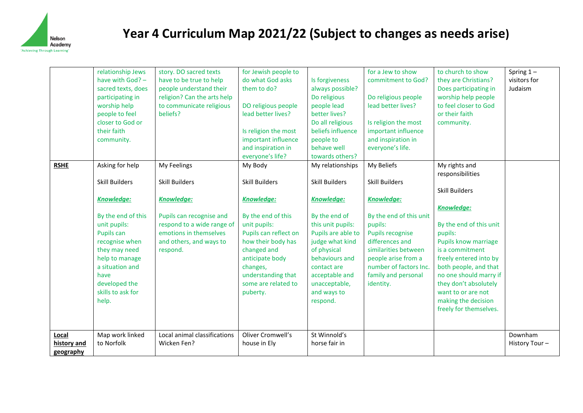

|                                   | relationship Jews<br>have with $God? -$<br>sacred texts, does<br>participating in<br>worship help<br>people to feel<br>closer to God or<br>their faith<br>community.                                                                      | story. DO sacred texts<br>have to be true to help<br>people understand their<br>religion? Can the arts help<br>to communicate religious<br>beliefs?                                  | for Jewish people to<br>do what God asks<br>them to do?<br>DO religious people<br>lead better lives?<br>Is religion the most<br>important influence<br>and inspiration in<br>everyone's life?                                                     | Is forgiveness<br>always possible?<br>Do religious<br>people lead<br>better lives?<br>Do all religious<br>beliefs influence<br>people to<br>behave well<br>towards others?                                                                                  | for a Jew to show<br>commitment to God?<br>Do religious people<br>lead better lives?<br>Is religion the most<br>important influence<br>and inspiration in<br>everyone's life.                                                                      | to church to show<br>they are Christians?<br>Does participating in<br>worship help people<br>to feel closer to God<br>or their faith<br>community.                                                                                                                                                                                     | Spring $1 -$<br>visitors for<br>Judaism |
|-----------------------------------|-------------------------------------------------------------------------------------------------------------------------------------------------------------------------------------------------------------------------------------------|--------------------------------------------------------------------------------------------------------------------------------------------------------------------------------------|---------------------------------------------------------------------------------------------------------------------------------------------------------------------------------------------------------------------------------------------------|-------------------------------------------------------------------------------------------------------------------------------------------------------------------------------------------------------------------------------------------------------------|----------------------------------------------------------------------------------------------------------------------------------------------------------------------------------------------------------------------------------------------------|----------------------------------------------------------------------------------------------------------------------------------------------------------------------------------------------------------------------------------------------------------------------------------------------------------------------------------------|-----------------------------------------|
| <b>RSHE</b>                       | Asking for help<br><b>Skill Builders</b><br>Knowledge:<br>By the end of this<br>unit pupils:<br>Pupils can<br>recognise when<br>they may need<br>help to manage<br>a situation and<br>have<br>developed the<br>skills to ask for<br>help. | My Feelings<br><b>Skill Builders</b><br><b>Knowledge:</b><br>Pupils can recognise and<br>respond to a wide range of<br>emotions in themselves<br>and others, and ways to<br>respond. | My Body<br><b>Skill Builders</b><br><b>Knowledge:</b><br>By the end of this<br>unit pupils:<br>Pupils can reflect on<br>how their body has<br>changed and<br>anticipate body<br>changes,<br>understanding that<br>some are related to<br>puberty. | My relationships<br><b>Skill Builders</b><br><b>Knowledge:</b><br>By the end of<br>this unit pupils:<br>Pupils are able to<br>judge what kind<br>of physical<br>behaviours and<br>contact are<br>acceptable and<br>unacceptable,<br>and ways to<br>respond. | My Beliefs<br><b>Skill Builders</b><br><b>Knowledge:</b><br>By the end of this unit<br>pupils:<br>Pupils recognise<br>differences and<br>similarities between<br>people arise from a<br>number of factors Inc.<br>family and personal<br>identity. | My rights and<br>responsibilities<br><b>Skill Builders</b><br>Knowledge:<br>By the end of this unit<br>pupils:<br>Pupils know marriage<br>is a commitment<br>freely entered into by<br>both people, and that<br>no one should marry if<br>they don't absolutely<br>want to or are not<br>making the decision<br>freely for themselves. |                                         |
| Local<br>history and<br>geography | Map work linked<br>to Norfolk                                                                                                                                                                                                             | Local animal classifications<br>Wicken Fen?                                                                                                                                          | Oliver Cromwell's<br>house in Ely                                                                                                                                                                                                                 | St Winnold's<br>horse fair in                                                                                                                                                                                                                               |                                                                                                                                                                                                                                                    |                                                                                                                                                                                                                                                                                                                                        | Downham<br>History Tour-                |